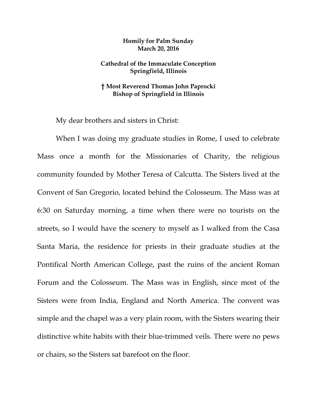## **Homily for Palm Sunday March 20, 2016**

## **Cathedral of the Immaculate Conception Springfield, Illinois**

## **† Most Reverend Thomas John Paprocki Bishop of Springfield in Illinois**

My dear brothers and sisters in Christ:

 When I was doing my graduate studies in Rome, I used to celebrate Mass once a month for the Missionaries of Charity, the religious community founded by Mother Teresa of Calcutta. The Sisters lived at the Convent of San Gregorio, located behind the Colosseum. The Mass was at 6:30 on Saturday morning, a time when there were no tourists on the streets, so I would have the scenery to myself as I walked from the Casa Santa Maria, the residence for priests in their graduate studies at the Pontifical North American College, past the ruins of the ancient Roman Forum and the Colosseum. The Mass was in English, since most of the Sisters were from India, England and North America. The convent was simple and the chapel was a very plain room, with the Sisters wearing their distinctive white habits with their blue-trimmed veils. There were no pews or chairs, so the Sisters sat barefoot on the floor.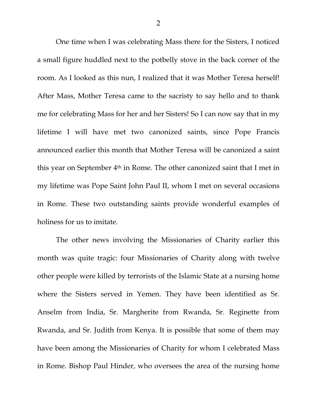One time when I was celebrating Mass there for the Sisters, I noticed a small figure huddled next to the potbelly stove in the back corner of the room. As I looked as this nun, I realized that it was Mother Teresa herself! After Mass, Mother Teresa came to the sacristy to say hello and to thank me for celebrating Mass for her and her Sisters! So I can now say that in my lifetime I will have met two canonized saints, since Pope Francis announced earlier this month that Mother Teresa will be canonized a saint this year on September 4th in Rome. The other canonized saint that I met in my lifetime was Pope Saint John Paul II, whom I met on several occasions in Rome. These two outstanding saints provide wonderful examples of holiness for us to imitate.

The other news involving the Missionaries of Charity earlier this month was quite tragic: four Missionaries of Charity along with twelve other people were killed by terrorists of the Islamic State at a nursing home where the Sisters served in Yemen. They have been identified as Sr. Anselm from India, Sr. Margherite from Rwanda, Sr. Reginette from Rwanda, and Sr. Judith from Kenya. It is possible that some of them may have been among the Missionaries of Charity for whom I celebrated Mass in Rome. Bishop Paul Hinder, who oversees the area of the nursing home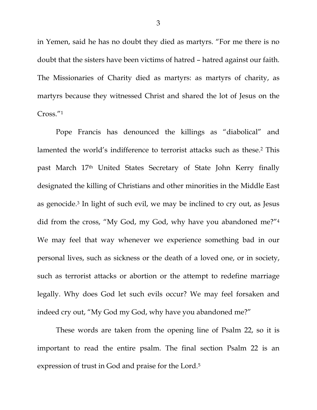in Yemen, said he has no doubt they died as martyrs. "For me there is no doubt that the sisters have been victims of hatred – hatred against our faith. The Missionaries of Charity died as martyrs: as martyrs of charity, as martyrs because they witnessed Christ and shared the lot of Jesus on the Cross."1

Pope Francis has denounced the killings as "diabolical" and lamented the world's indifference to terrorist attacks such as these.<sup>2</sup> This past March 17th United States Secretary of State John Kerry finally designated the killing of Christians and other minorities in the Middle East as genocide.3 In light of such evil, we may be inclined to cry out, as Jesus did from the cross, "My God, my God, why have you abandoned me?"4 We may feel that way whenever we experience something bad in our personal lives, such as sickness or the death of a loved one, or in society, such as terrorist attacks or abortion or the attempt to redefine marriage legally. Why does God let such evils occur? We may feel forsaken and indeed cry out, "My God my God, why have you abandoned me?"

These words are taken from the opening line of Psalm 22, so it is important to read the entire psalm. The final section Psalm 22 is an expression of trust in God and praise for the Lord.5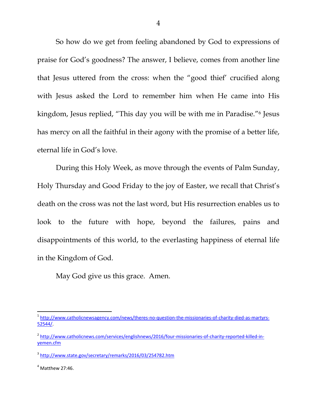So how do we get from feeling abandoned by God to expressions of praise for God's goodness? The answer, I believe, comes from another line that Jesus uttered from the cross: when the "good thief' crucified along with Jesus asked the Lord to remember him when He came into His kingdom, Jesus replied, "This day you will be with me in Paradise."6 Jesus has mercy on all the faithful in their agony with the promise of a better life, eternal life in God's love.

During this Holy Week, as move through the events of Palm Sunday, Holy Thursday and Good Friday to the joy of Easter, we recall that Christ's death on the cross was not the last word, but His resurrection enables us to look to the future with hope, beyond the failures, pains and disappointments of this world, to the everlasting happiness of eternal life in the Kingdom of God.

May God give us this grace. Amen.

<sup>1</sup> http://www.catholicnewsagency.com/news/theres‐no‐question‐the‐missionaries‐of‐charity‐died‐as‐martyrs‐ 52544/.

<sup>&</sup>lt;sup>2</sup> http://www.catholicnews.com/services/englishnews/2016/four-missionaries-of-charity-reported-killed-inyemen.cfm

<sup>3</sup> http://www.state.gov/secretary/remarks/2016/03/254782.htm

 $4$  Matthew 27:46.